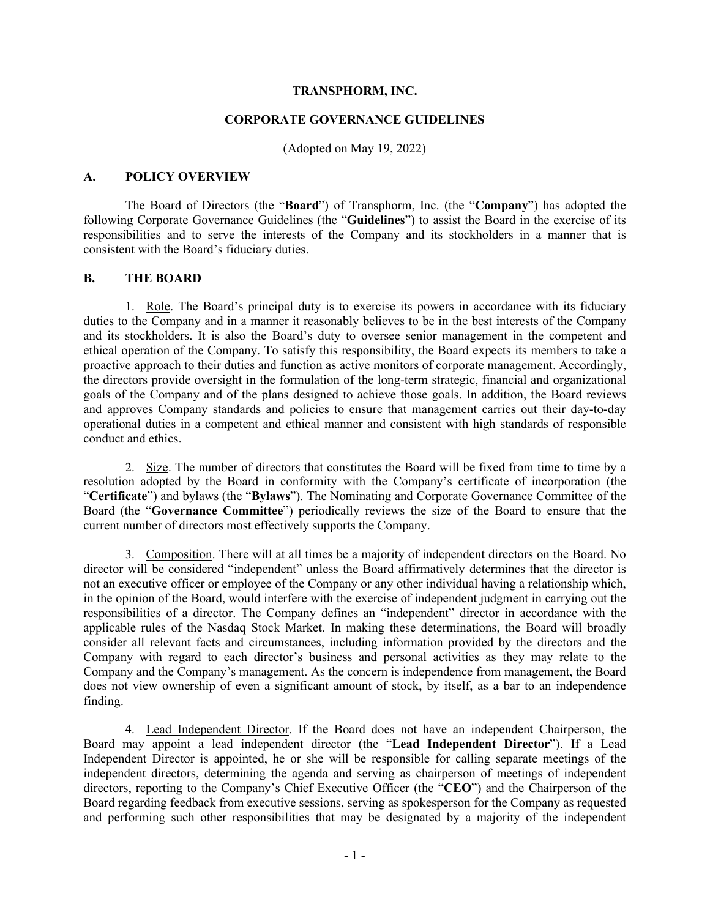#### **TRANSPHORM, INC.**

#### **CORPORATE GOVERNANCE GUIDELINES**

(Adopted on May 19, 2022)

### **A. POLICY OVERVIEW**

The Board of Directors (the "**Board**") of Transphorm, Inc. (the "**Company**") has adopted the following Corporate Governance Guidelines (the "**Guidelines**") to assist the Board in the exercise of its responsibilities and to serve the interests of the Company and its stockholders in a manner that is consistent with the Board's fiduciary duties.

### **B. THE BOARD**

1. Role. The Board's principal duty is to exercise its powers in accordance with its fiduciary duties to the Company and in a manner it reasonably believes to be in the best interests of the Company and its stockholders. It is also the Board's duty to oversee senior management in the competent and ethical operation of the Company. To satisfy this responsibility, the Board expects its members to take a proactive approach to their duties and function as active monitors of corporate management. Accordingly, the directors provide oversight in the formulation of the long-term strategic, financial and organizational goals of the Company and of the plans designed to achieve those goals. In addition, the Board reviews and approves Company standards and policies to ensure that management carries out their day-to-day operational duties in a competent and ethical manner and consistent with high standards of responsible conduct and ethics.

2. Size. The number of directors that constitutes the Board will be fixed from time to time by a resolution adopted by the Board in conformity with the Company's certificate of incorporation (the "**Certificate**") and bylaws (the "**Bylaws**"). The Nominating and Corporate Governance Committee of the Board (the "**Governance Committee**") periodically reviews the size of the Board to ensure that the current number of directors most effectively supports the Company.

3. Composition. There will at all times be a majority of independent directors on the Board. No director will be considered "independent" unless the Board affirmatively determines that the director is not an executive officer or employee of the Company or any other individual having a relationship which, in the opinion of the Board, would interfere with the exercise of independent judgment in carrying out the responsibilities of a director. The Company defines an "independent" director in accordance with the applicable rules of the Nasdaq Stock Market. In making these determinations, the Board will broadly consider all relevant facts and circumstances, including information provided by the directors and the Company with regard to each director's business and personal activities as they may relate to the Company and the Company's management. As the concern is independence from management, the Board does not view ownership of even a significant amount of stock, by itself, as a bar to an independence finding.

4. Lead Independent Director. If the Board does not have an independent Chairperson, the Board may appoint a lead independent director (the "**Lead Independent Director**"). If a Lead Independent Director is appointed, he or she will be responsible for calling separate meetings of the independent directors, determining the agenda and serving as chairperson of meetings of independent directors, reporting to the Company's Chief Executive Officer (the "**CEO**") and the Chairperson of the Board regarding feedback from executive sessions, serving as spokesperson for the Company as requested and performing such other responsibilities that may be designated by a majority of the independent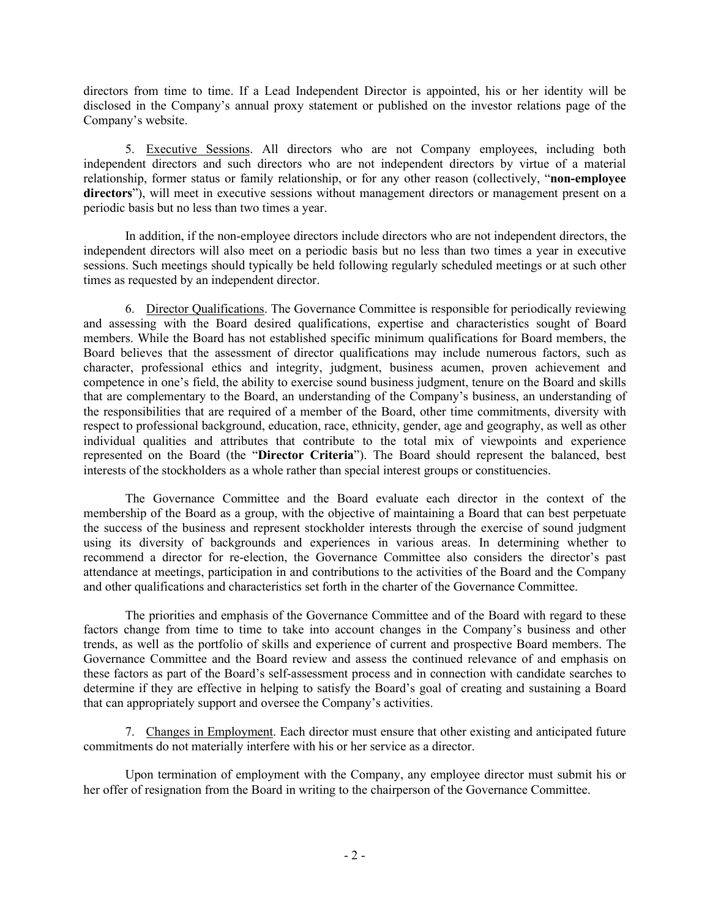directors from time to time. If a Lead Independent Director is appointed, his or her identity will be disclosed in the Company's annual proxy statement or published on the investor relations page of the Company's website.

5. Executive Sessions. All directors who are not Company employees, including both independent directors and such directors who are not independent directors by virtue of a material relationship, former status or family relationship, or for any other reason (collectively, "**non-employee**  directors"), will meet in executive sessions without management directors or management present on a periodic basis but no less than two times a year.

In addition, if the non-employee directors include directors who are not independent directors, the independent directors will also meet on a periodic basis but no less than two times a year in executive sessions. Such meetings should typically be held following regularly scheduled meetings or at such other times as requested by an independent director.

6. Director Qualifications. The Governance Committee is responsible for periodically reviewing and assessing with the Board desired qualifications, expertise and characteristics sought of Board members. While the Board has not established specific minimum qualifications for Board members, the Board believes that the assessment of director qualifications may include numerous factors, such as character, professional ethics and integrity, judgment, business acumen, proven achievement and competence in one's field, the ability to exercise sound business judgment, tenure on the Board and skills that are complementary to the Board, an understanding of the Company's business, an understanding of the responsibilities that are required of a member of the Board, other time commitments, diversity with respect to professional background, education, race, ethnicity, gender, age and geography, as well as other individual qualities and attributes that contribute to the total mix of viewpoints and experience represented on the Board (the "**Director Criteria**"). The Board should represent the balanced, best interests of the stockholders as a whole rather than special interest groups or constituencies.

The Governance Committee and the Board evaluate each director in the context of the membership of the Board as a group, with the objective of maintaining a Board that can best perpetuate the success of the business and represent stockholder interests through the exercise of sound judgment using its diversity of backgrounds and experiences in various areas. In determining whether to recommend a director for re-election, the Governance Committee also considers the director's past attendance at meetings, participation in and contributions to the activities of the Board and the Company and other qualifications and characteristics set forth in the charter of the Governance Committee.

The priorities and emphasis of the Governance Committee and of the Board with regard to these factors change from time to time to take into account changes in the Company's business and other trends, as well as the portfolio of skills and experience of current and prospective Board members. The Governance Committee and the Board review and assess the continued relevance of and emphasis on these factors as part of the Board's self-assessment process and in connection with candidate searches to determine if they are effective in helping to satisfy the Board's goal of creating and sustaining a Board that can appropriately support and oversee the Company's activities.

7. Changes in Employment. Each director must ensure that other existing and anticipated future commitments do not materially interfere with his or her service as a director.

Upon termination of employment with the Company, any employee director must submit his or her offer of resignation from the Board in writing to the chairperson of the Governance Committee.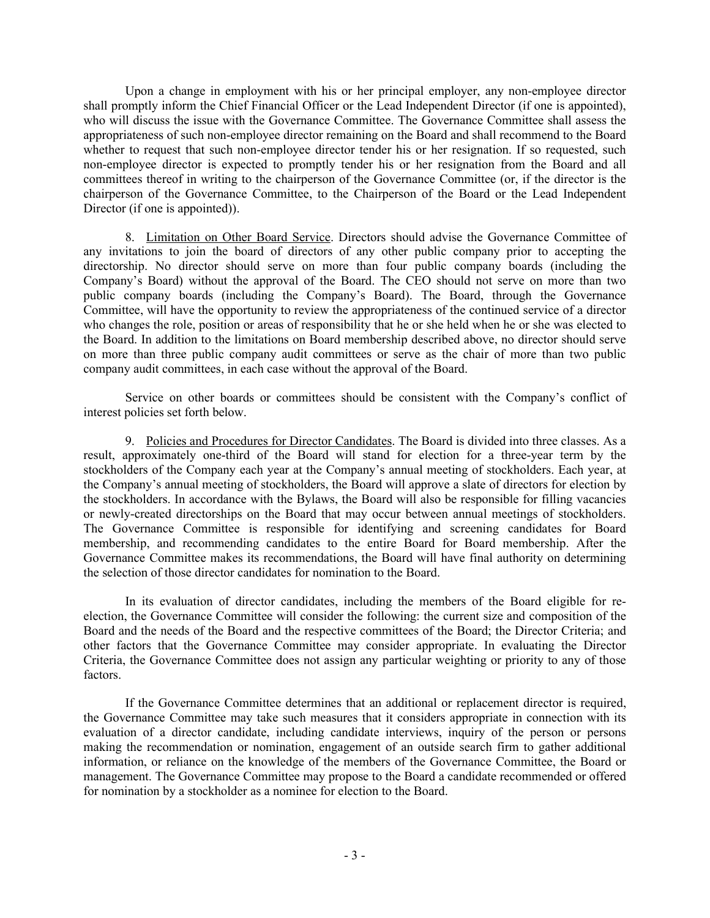Upon a change in employment with his or her principal employer, any non-employee director shall promptly inform the Chief Financial Officer or the Lead Independent Director (if one is appointed), who will discuss the issue with the Governance Committee. The Governance Committee shall assess the appropriateness of such non-employee director remaining on the Board and shall recommend to the Board whether to request that such non-employee director tender his or her resignation. If so requested, such non-employee director is expected to promptly tender his or her resignation from the Board and all committees thereof in writing to the chairperson of the Governance Committee (or, if the director is the chairperson of the Governance Committee, to the Chairperson of the Board or the Lead Independent Director (if one is appointed)).

8. Limitation on Other Board Service. Directors should advise the Governance Committee of any invitations to join the board of directors of any other public company prior to accepting the directorship. No director should serve on more than four public company boards (including the Company's Board) without the approval of the Board. The CEO should not serve on more than two public company boards (including the Company's Board). The Board, through the Governance Committee, will have the opportunity to review the appropriateness of the continued service of a director who changes the role, position or areas of responsibility that he or she held when he or she was elected to the Board. In addition to the limitations on Board membership described above, no director should serve on more than three public company audit committees or serve as the chair of more than two public company audit committees, in each case without the approval of the Board.

Service on other boards or committees should be consistent with the Company's conflict of interest policies set forth below.

9. Policies and Procedures for Director Candidates. The Board is divided into three classes. As a result, approximately one-third of the Board will stand for election for a three-year term by the stockholders of the Company each year at the Company's annual meeting of stockholders. Each year, at the Company's annual meeting of stockholders, the Board will approve a slate of directors for election by the stockholders. In accordance with the Bylaws, the Board will also be responsible for filling vacancies or newly-created directorships on the Board that may occur between annual meetings of stockholders. The Governance Committee is responsible for identifying and screening candidates for Board membership, and recommending candidates to the entire Board for Board membership. After the Governance Committee makes its recommendations, the Board will have final authority on determining the selection of those director candidates for nomination to the Board.

In its evaluation of director candidates, including the members of the Board eligible for reelection, the Governance Committee will consider the following: the current size and composition of the Board and the needs of the Board and the respective committees of the Board; the Director Criteria; and other factors that the Governance Committee may consider appropriate. In evaluating the Director Criteria, the Governance Committee does not assign any particular weighting or priority to any of those factors.

If the Governance Committee determines that an additional or replacement director is required, the Governance Committee may take such measures that it considers appropriate in connection with its evaluation of a director candidate, including candidate interviews, inquiry of the person or persons making the recommendation or nomination, engagement of an outside search firm to gather additional information, or reliance on the knowledge of the members of the Governance Committee, the Board or management. The Governance Committee may propose to the Board a candidate recommended or offered for nomination by a stockholder as a nominee for election to the Board.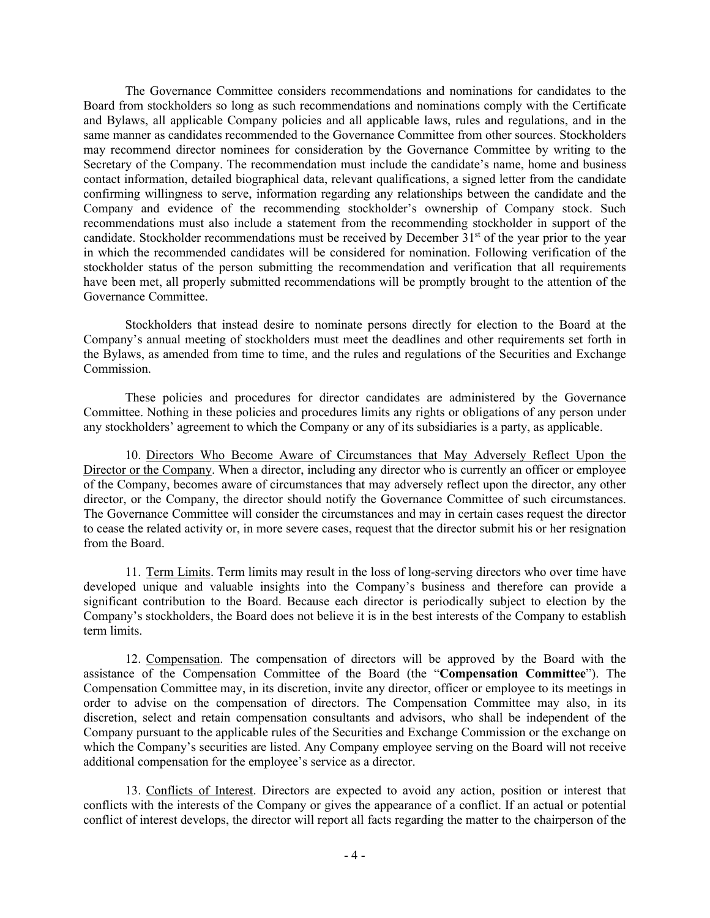The Governance Committee considers recommendations and nominations for candidates to the Board from stockholders so long as such recommendations and nominations comply with the Certificate and Bylaws, all applicable Company policies and all applicable laws, rules and regulations, and in the same manner as candidates recommended to the Governance Committee from other sources. Stockholders may recommend director nominees for consideration by the Governance Committee by writing to the Secretary of the Company. The recommendation must include the candidate's name, home and business contact information, detailed biographical data, relevant qualifications, a signed letter from the candidate confirming willingness to serve, information regarding any relationships between the candidate and the Company and evidence of the recommending stockholder's ownership of Company stock. Such recommendations must also include a statement from the recommending stockholder in support of the candidate. Stockholder recommendations must be received by December 31<sup>st</sup> of the year prior to the year in which the recommended candidates will be considered for nomination. Following verification of the stockholder status of the person submitting the recommendation and verification that all requirements have been met, all properly submitted recommendations will be promptly brought to the attention of the Governance Committee.

Stockholders that instead desire to nominate persons directly for election to the Board at the Company's annual meeting of stockholders must meet the deadlines and other requirements set forth in the Bylaws, as amended from time to time, and the rules and regulations of the Securities and Exchange Commission.

These policies and procedures for director candidates are administered by the Governance Committee. Nothing in these policies and procedures limits any rights or obligations of any person under any stockholders' agreement to which the Company or any of its subsidiaries is a party, as applicable.

10. Directors Who Become Aware of Circumstances that May Adversely Reflect Upon the Director or the Company. When a director, including any director who is currently an officer or employee of the Company, becomes aware of circumstances that may adversely reflect upon the director, any other director, or the Company, the director should notify the Governance Committee of such circumstances. The Governance Committee will consider the circumstances and may in certain cases request the director to cease the related activity or, in more severe cases, request that the director submit his or her resignation from the Board.

11. Term Limits. Term limits may result in the loss of long-serving directors who over time have developed unique and valuable insights into the Company's business and therefore can provide a significant contribution to the Board. Because each director is periodically subject to election by the Company's stockholders, the Board does not believe it is in the best interests of the Company to establish term limits.

12. Compensation. The compensation of directors will be approved by the Board with the assistance of the Compensation Committee of the Board (the "**Compensation Committee**"). The Compensation Committee may, in its discretion, invite any director, officer or employee to its meetings in order to advise on the compensation of directors. The Compensation Committee may also, in its discretion, select and retain compensation consultants and advisors, who shall be independent of the Company pursuant to the applicable rules of the Securities and Exchange Commission or the exchange on which the Company's securities are listed. Any Company employee serving on the Board will not receive additional compensation for the employee's service as a director.

13. Conflicts of Interest. Directors are expected to avoid any action, position or interest that conflicts with the interests of the Company or gives the appearance of a conflict. If an actual or potential conflict of interest develops, the director will report all facts regarding the matter to the chairperson of the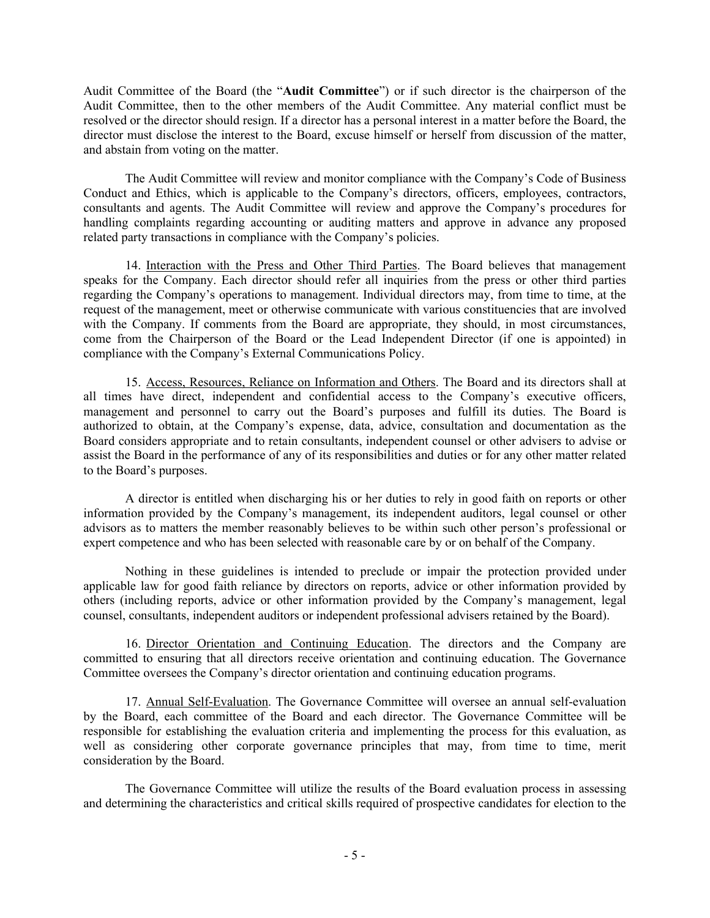Audit Committee of the Board (the "**Audit Committee**") or if such director is the chairperson of the Audit Committee, then to the other members of the Audit Committee. Any material conflict must be resolved or the director should resign. If a director has a personal interest in a matter before the Board, the director must disclose the interest to the Board, excuse himself or herself from discussion of the matter, and abstain from voting on the matter.

The Audit Committee will review and monitor compliance with the Company's Code of Business Conduct and Ethics, which is applicable to the Company's directors, officers, employees, contractors, consultants and agents. The Audit Committee will review and approve the Company's procedures for handling complaints regarding accounting or auditing matters and approve in advance any proposed related party transactions in compliance with the Company's policies.

14. Interaction with the Press and Other Third Parties. The Board believes that management speaks for the Company. Each director should refer all inquiries from the press or other third parties regarding the Company's operations to management. Individual directors may, from time to time, at the request of the management, meet or otherwise communicate with various constituencies that are involved with the Company. If comments from the Board are appropriate, they should, in most circumstances, come from the Chairperson of the Board or the Lead Independent Director (if one is appointed) in compliance with the Company's External Communications Policy.

15. Access, Resources, Reliance on Information and Others. The Board and its directors shall at all times have direct, independent and confidential access to the Company's executive officers, management and personnel to carry out the Board's purposes and fulfill its duties. The Board is authorized to obtain, at the Company's expense, data, advice, consultation and documentation as the Board considers appropriate and to retain consultants, independent counsel or other advisers to advise or assist the Board in the performance of any of its responsibilities and duties or for any other matter related to the Board's purposes.

A director is entitled when discharging his or her duties to rely in good faith on reports or other information provided by the Company's management, its independent auditors, legal counsel or other advisors as to matters the member reasonably believes to be within such other person's professional or expert competence and who has been selected with reasonable care by or on behalf of the Company.

Nothing in these guidelines is intended to preclude or impair the protection provided under applicable law for good faith reliance by directors on reports, advice or other information provided by others (including reports, advice or other information provided by the Company's management, legal counsel, consultants, independent auditors or independent professional advisers retained by the Board).

16. Director Orientation and Continuing Education. The directors and the Company are committed to ensuring that all directors receive orientation and continuing education. The Governance Committee oversees the Company's director orientation and continuing education programs.

17. Annual Self-Evaluation. The Governance Committee will oversee an annual self-evaluation by the Board, each committee of the Board and each director. The Governance Committee will be responsible for establishing the evaluation criteria and implementing the process for this evaluation, as well as considering other corporate governance principles that may, from time to time, merit consideration by the Board.

The Governance Committee will utilize the results of the Board evaluation process in assessing and determining the characteristics and critical skills required of prospective candidates for election to the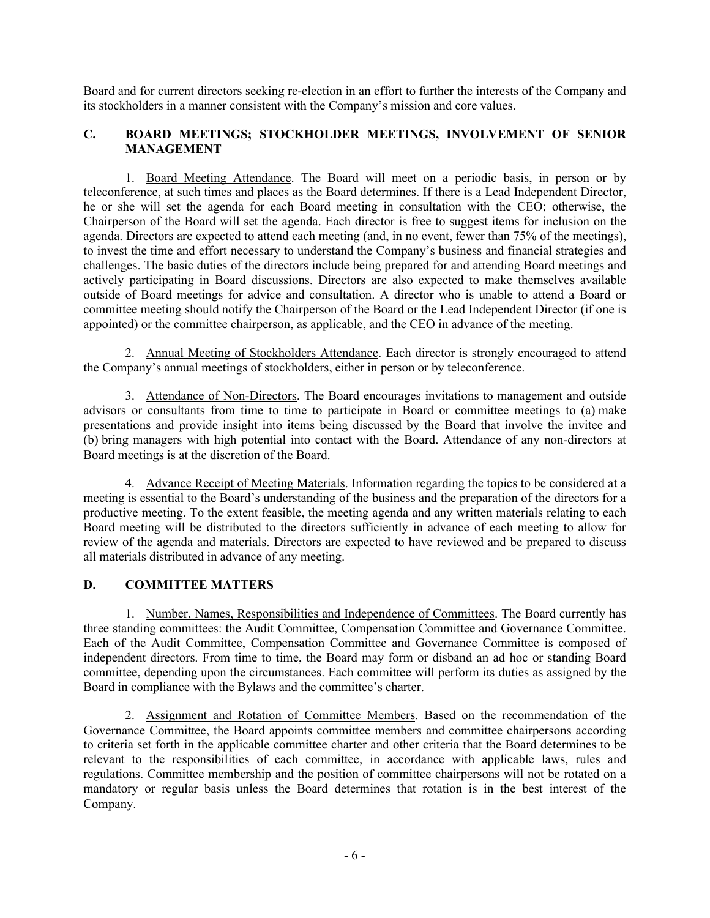Board and for current directors seeking re-election in an effort to further the interests of the Company and its stockholders in a manner consistent with the Company's mission and core values.

## **C. BOARD MEETINGS; STOCKHOLDER MEETINGS, INVOLVEMENT OF SENIOR MANAGEMENT**

1. Board Meeting Attendance. The Board will meet on a periodic basis, in person or by teleconference, at such times and places as the Board determines. If there is a Lead Independent Director, he or she will set the agenda for each Board meeting in consultation with the CEO; otherwise, the Chairperson of the Board will set the agenda. Each director is free to suggest items for inclusion on the agenda. Directors are expected to attend each meeting (and, in no event, fewer than 75% of the meetings), to invest the time and effort necessary to understand the Company's business and financial strategies and challenges. The basic duties of the directors include being prepared for and attending Board meetings and actively participating in Board discussions. Directors are also expected to make themselves available outside of Board meetings for advice and consultation. A director who is unable to attend a Board or committee meeting should notify the Chairperson of the Board or the Lead Independent Director (if one is appointed) or the committee chairperson, as applicable, and the CEO in advance of the meeting.

2. Annual Meeting of Stockholders Attendance. Each director is strongly encouraged to attend the Company's annual meetings of stockholders, either in person or by teleconference.

3. Attendance of Non-Directors. The Board encourages invitations to management and outside advisors or consultants from time to time to participate in Board or committee meetings to (a) make presentations and provide insight into items being discussed by the Board that involve the invitee and (b) bring managers with high potential into contact with the Board. Attendance of any non-directors at Board meetings is at the discretion of the Board.

4. Advance Receipt of Meeting Materials. Information regarding the topics to be considered at a meeting is essential to the Board's understanding of the business and the preparation of the directors for a productive meeting. To the extent feasible, the meeting agenda and any written materials relating to each Board meeting will be distributed to the directors sufficiently in advance of each meeting to allow for review of the agenda and materials. Directors are expected to have reviewed and be prepared to discuss all materials distributed in advance of any meeting.

### **D. COMMITTEE MATTERS**

1. Number, Names, Responsibilities and Independence of Committees. The Board currently has three standing committees: the Audit Committee, Compensation Committee and Governance Committee. Each of the Audit Committee, Compensation Committee and Governance Committee is composed of independent directors. From time to time, the Board may form or disband an ad hoc or standing Board committee, depending upon the circumstances. Each committee will perform its duties as assigned by the Board in compliance with the Bylaws and the committee's charter.

2. Assignment and Rotation of Committee Members. Based on the recommendation of the Governance Committee, the Board appoints committee members and committee chairpersons according to criteria set forth in the applicable committee charter and other criteria that the Board determines to be relevant to the responsibilities of each committee, in accordance with applicable laws, rules and regulations. Committee membership and the position of committee chairpersons will not be rotated on a mandatory or regular basis unless the Board determines that rotation is in the best interest of the Company.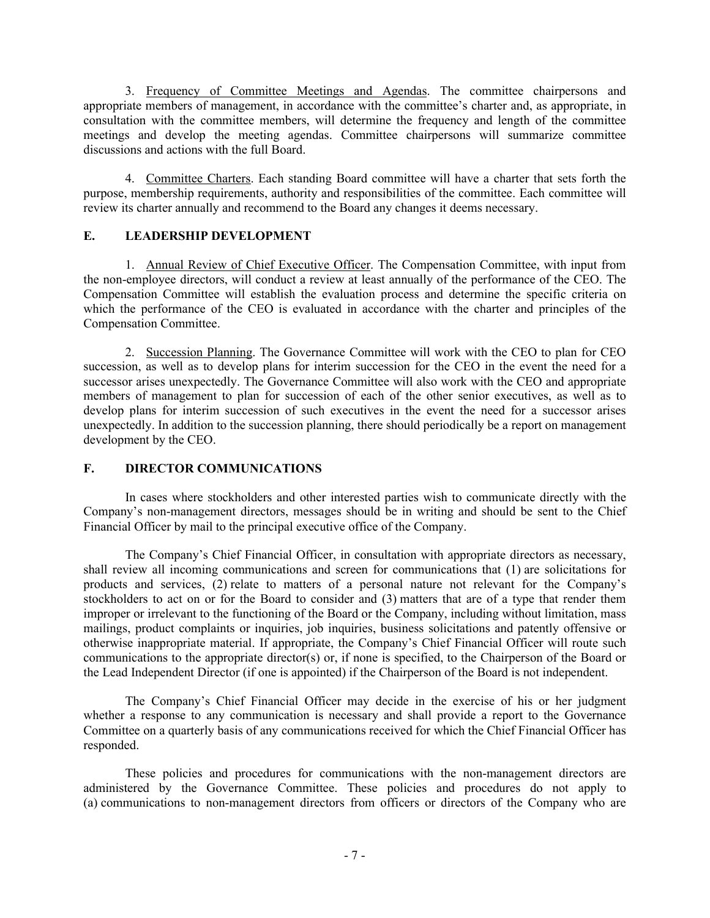3. Frequency of Committee Meetings and Agendas. The committee chairpersons and appropriate members of management, in accordance with the committee's charter and, as appropriate, in consultation with the committee members, will determine the frequency and length of the committee meetings and develop the meeting agendas. Committee chairpersons will summarize committee discussions and actions with the full Board.

4. Committee Charters. Each standing Board committee will have a charter that sets forth the purpose, membership requirements, authority and responsibilities of the committee. Each committee will review its charter annually and recommend to the Board any changes it deems necessary.

## **E. LEADERSHIP DEVELOPMENT**

1. Annual Review of Chief Executive Officer. The Compensation Committee, with input from the non-employee directors, will conduct a review at least annually of the performance of the CEO. The Compensation Committee will establish the evaluation process and determine the specific criteria on which the performance of the CEO is evaluated in accordance with the charter and principles of the Compensation Committee.

2. Succession Planning. The Governance Committee will work with the CEO to plan for CEO succession, as well as to develop plans for interim succession for the CEO in the event the need for a successor arises unexpectedly. The Governance Committee will also work with the CEO and appropriate members of management to plan for succession of each of the other senior executives, as well as to develop plans for interim succession of such executives in the event the need for a successor arises unexpectedly. In addition to the succession planning, there should periodically be a report on management development by the CEO.

# **F. DIRECTOR COMMUNICATIONS**

In cases where stockholders and other interested parties wish to communicate directly with the Company's non-management directors, messages should be in writing and should be sent to the Chief Financial Officer by mail to the principal executive office of the Company.

The Company's Chief Financial Officer, in consultation with appropriate directors as necessary, shall review all incoming communications and screen for communications that (1) are solicitations for products and services, (2) relate to matters of a personal nature not relevant for the Company's stockholders to act on or for the Board to consider and (3) matters that are of a type that render them improper or irrelevant to the functioning of the Board or the Company, including without limitation, mass mailings, product complaints or inquiries, job inquiries, business solicitations and patently offensive or otherwise inappropriate material. If appropriate, the Company's Chief Financial Officer will route such communications to the appropriate director(s) or, if none is specified, to the Chairperson of the Board or the Lead Independent Director (if one is appointed) if the Chairperson of the Board is not independent.

The Company's Chief Financial Officer may decide in the exercise of his or her judgment whether a response to any communication is necessary and shall provide a report to the Governance Committee on a quarterly basis of any communications received for which the Chief Financial Officer has responded.

These policies and procedures for communications with the non-management directors are administered by the Governance Committee. These policies and procedures do not apply to (a) communications to non-management directors from officers or directors of the Company who are